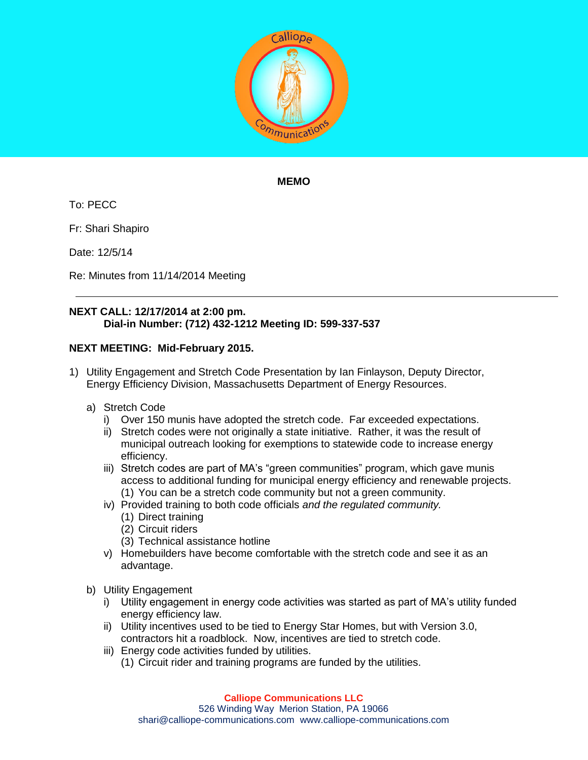

## **MEMO**

To: PECC

Fr: Shari Shapiro

Date: 12/5/14

Re: Minutes from 11/14/2014 Meeting

## **NEXT CALL: 12/17/2014 at 2:00 pm. Dial-in Number: (712) 432-1212 Meeting ID: 599-337-537**

## **NEXT MEETING: Mid-February 2015.**

- 1) Utility Engagement and Stretch Code Presentation by Ian Finlayson, Deputy Director, Energy Efficiency Division, Massachusetts Department of Energy Resources.
	- a) Stretch Code
		- i) Over 150 munis have adopted the stretch code. Far exceeded expectations.
		- ii) Stretch codes were not originally a state initiative. Rather, it was the result of municipal outreach looking for exemptions to statewide code to increase energy efficiency.
		- iii) Stretch codes are part of MA's "green communities" program, which gave munis access to additional funding for municipal energy efficiency and renewable projects. (1) You can be a stretch code community but not a green community.
		- iv) Provided training to both code officials *and the regulated community.*
			- (1) Direct training
			- (2) Circuit riders
			- (3) Technical assistance hotline
		- v) Homebuilders have become comfortable with the stretch code and see it as an advantage.
	- b) Utility Engagement
		- i) Utility engagement in energy code activities was started as part of MA's utility funded energy efficiency law.
		- ii) Utility incentives used to be tied to Energy Star Homes, but with Version 3.0, contractors hit a roadblock. Now, incentives are tied to stretch code.
		- iii) Energy code activities funded by utilities.
			- (1) Circuit rider and training programs are funded by the utilities.